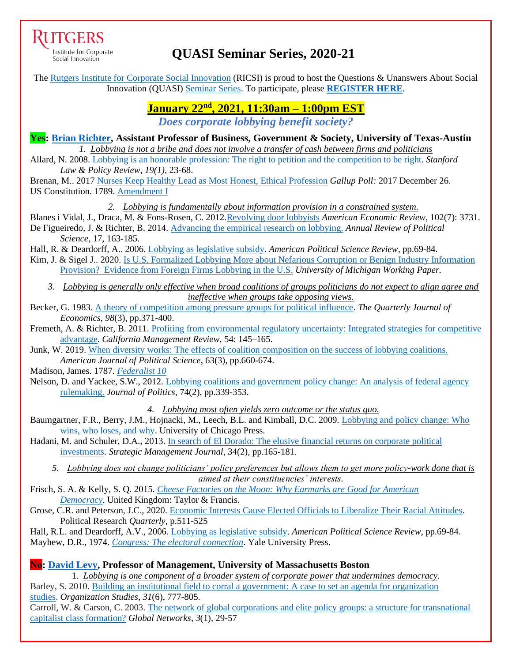

Institute for Corporate Social Innovation

# **QUASI Seminar Series, 2020-21**

The [Rutgers Institute for Corporate Social Innovation](https://www.business.rutgers.edu/ricsi) (RICSI) is proud to host the Questions & Unanswers About Social Innovation (QUASI) [Seminar Series.](https://www.business.rutgers.edu/sites/default/files/documents/ricsi-quasi-seminar-series.pdf) To participate, please **[REGISTER HERE](https://docs.google.com/forms/d/e/1FAIpQLSf4hJca5uxhRVsn9Qsz04ntaLGkhpUyGeE-anrzh_jHBObOPQ/viewform)**.

## **January 22nd , 2021, 11:30am – 1:00pm EST**

*Does corporate lobbying benefit society?*

**Yes: [Brian Richter,](http://briankrichter.com/) Assistant Professor of Business, Government & Society, University of Texas-Austin**  *1. Lobbying is not a bribe and does not involve a transfer of cash between firms and politicians* Allard, N. 2008. [Lobbying is an honorable profession: The right to petition and the competition to be right.](https://heinonline.org/HOL/P?h=hein.journals/stanlp19&i=31) *Stanford*

*Law & Policy Review, 19(1),* 23-68.

Brenan, M.. 2017 [Nurses Keep Healthy Lead as Most Honest, Ethical Profession](https://news.gallup.com/poll/224639/nurses-keep-healthy-lead-honest-ethical-profession.aspx) *Gallup Poll:* 2017 December 26. US Constitution. 1789. [Amendment I](https://constitution.congress.gov/constitution/amendment-1/)

*2. Lobbying is fundamentally about information provision in a constrained system.*

Blanes i Vidal, J., Draca, M. & Fons-Rosen, C. 2012[.Revolving door lobbyists](https://www.aeaweb.org/articles?id=10.1257/aer.102.7.3731) *American Economic Review*, 102(7): 3731. De Figueiredo, J. & Richter, B. 2014. [Advancing the empirical research on lobbying.](https://www.annualreviews.org/doi/abs/10.1146/annurev-polisci-100711-135308) *Annual Review of Political* 

*Science*, 17, 163-185. Hall, R. & Deardorff, A.. 2006. [Lobbying as legislative subsidy.](https://doi.org/10.1017/S0003055406062010) *American Political Science Review*, pp.69-84.

Kim, J. & Sigel J.. 2020. [Is U.S. Formalized Lobbying More about Nefarious Corruption or Benign Industry Information](https://extranet.sioe.org/uploads/sioe2020/kim_siegel.pdf)  [Provision? Evidence from Foreign Firms Lobbying in the U.S.](https://extranet.sioe.org/uploads/sioe2020/kim_siegel.pdf) *University of Michigan Working Paper.*

- *3. Lobbying is generally only effective when broad coalitions of groups politicians do not expect to align agree and ineffective when groups take opposing views.*
- Becker, G. 1983[. A theory of competition among pressure groups for political influence.](https://doi.org/10.2307/1886017) *The Quarterly Journal of Economics*, *98*(3), pp.371-400.
- Fremeth, A. & Richter, B. 2011. [Profiting from environmental regulatory uncertainty: Integrated strategies for competitive](https://cmr.berkeley.edu/search/articleDetail.aspx?article=5656)  [advantage.](https://cmr.berkeley.edu/search/articleDetail.aspx?article=5656) *California Management Review*, 54: 145–165.
- Junk, W. 2019[. When diversity works: The effects of coalition composition on the success of lobbying coalitions.](https://doi.org/10.1111/ajps.12437) *American Journal of Political Science*, 63(3), pp.660-674.

Madison, James. 1787. *[Federalist 10](https://billofrightsinstitute.org/primary-sources/federalist-no-10)*

Nelson, D. and Yackee, S.W., 2012. [Lobbying coalitions and government policy change: An analysis of federal agency](https://doi.org/10.1017/S0022381611001599)  [rulemaking.](https://doi.org/10.1017/S0022381611001599) *Journal of Politics*, 74(2), pp.339-353.

*4. Lobbying most often yields zero outcome or the status quo.*

- Baumgartner, F.R., Berry, J.M., Hojnacki, M., Leech, B.L. and Kimball, D.C. 2009. [Lobbying and policy change: Who](https://fbaum.unc.edu/books/lobby/lobbying.htm)  [wins, who loses, and why.](https://fbaum.unc.edu/books/lobby/lobbying.htm) University of Chicago Press.
- Hadani, M. and Schuler, D.A., 2013. [In search of El Dorado: The elusive financial returns on corporate political](https://doi.org/10.1002/smj.2006)  [investments.](https://doi.org/10.1002/smj.2006) *Strategic Management Journal*, 34(2), pp.165-181.
	- *5. Lobbying does not change politicians' policy preferences but allows them to get more policy-work done that is aimed at their constituencies' interests.*
- Frisch, S. A. & Kelly, S. Q. 2015. *[Cheese Factories on the Moon: Why Earmarks are Good for American](https://www.google.com/books/edition/Cheese_Factories_on_the_Moon/qzweCwAAQBAJ)  [Democracy](https://www.google.com/books/edition/Cheese_Factories_on_the_Moon/qzweCwAAQBAJ)*. United Kingdom: Taylor & Francis.
- Grose, C.R. and Peterson, J.C., 2020. [Economic Interests Cause Elected Officials to Liberalize Their Racial Attitudes.](https://doi.org/10.1177/1065912919899725) Political Research *Quarterly*, p.511-525

Hall, R.L. and Deardorff, A.V., 2006. [Lobbying as legislative subsidy.](https://doi.org/10.1017/S0003055406062010) *American Political Science Review*, pp.69-84. Mayhew, D.R., 1974. *[Congress: The electoral connection](https://www.google.com/books/edition/_/huBPVn5wg8AC?hl=en&sa=X&ved=2ahUKEwiA_tj5pJDuAhVSmK0KHU1bAuYQre8FMBF6BAgKEAc)*. Yale University Press.

### **No: [David Levy,](https://www.umb.edu/faculty_staff/list/david_levy) Professor of Management, University of Massachusetts Boston**

1. *Lobbying is one component of a broader system of corporate power that undermines democracy.*

Barley, S. 2010. [Building an institutional field to corral a government: A case to set an agenda for organization](https://journals.sagepub.com/doi/pdf/10.1177/0170840610372572?casa_token=XGN9M9P9DA4AAAAA:yy2xk-iA2sh0-HMhBrgR3o7tLOq3sPG6BISf1UJbTHwEdIc4Jy8btxwfSnZZA_QMUSSBd474JQi5LQ)  [studies.](https://journals.sagepub.com/doi/pdf/10.1177/0170840610372572?casa_token=XGN9M9P9DA4AAAAA:yy2xk-iA2sh0-HMhBrgR3o7tLOq3sPG6BISf1UJbTHwEdIc4Jy8btxwfSnZZA_QMUSSBd474JQi5LQ) *Organization Studies*, *31*(6), 777-805.

Carroll, W. & Carson, C. 2003. [The network of global corporations and elite policy groups: a structure for transnational](https://onlinelibrary.wiley.com/doi/abs/10.1111/1471-0374.00049?casa_token=Tkuxsp-6IAAAAAAA:DIJtX7v0EjQJYqv6wu9U1R6kx6S0aFJpSOGG3aqe2tKuaRk4XWOzHNJssDOqcvzitixRS7Q552kYA3A)  [capitalist class formation?](https://onlinelibrary.wiley.com/doi/abs/10.1111/1471-0374.00049?casa_token=Tkuxsp-6IAAAAAAA:DIJtX7v0EjQJYqv6wu9U1R6kx6S0aFJpSOGG3aqe2tKuaRk4XWOzHNJssDOqcvzitixRS7Q552kYA3A) *Global Networks*, *3*(1), 29-57